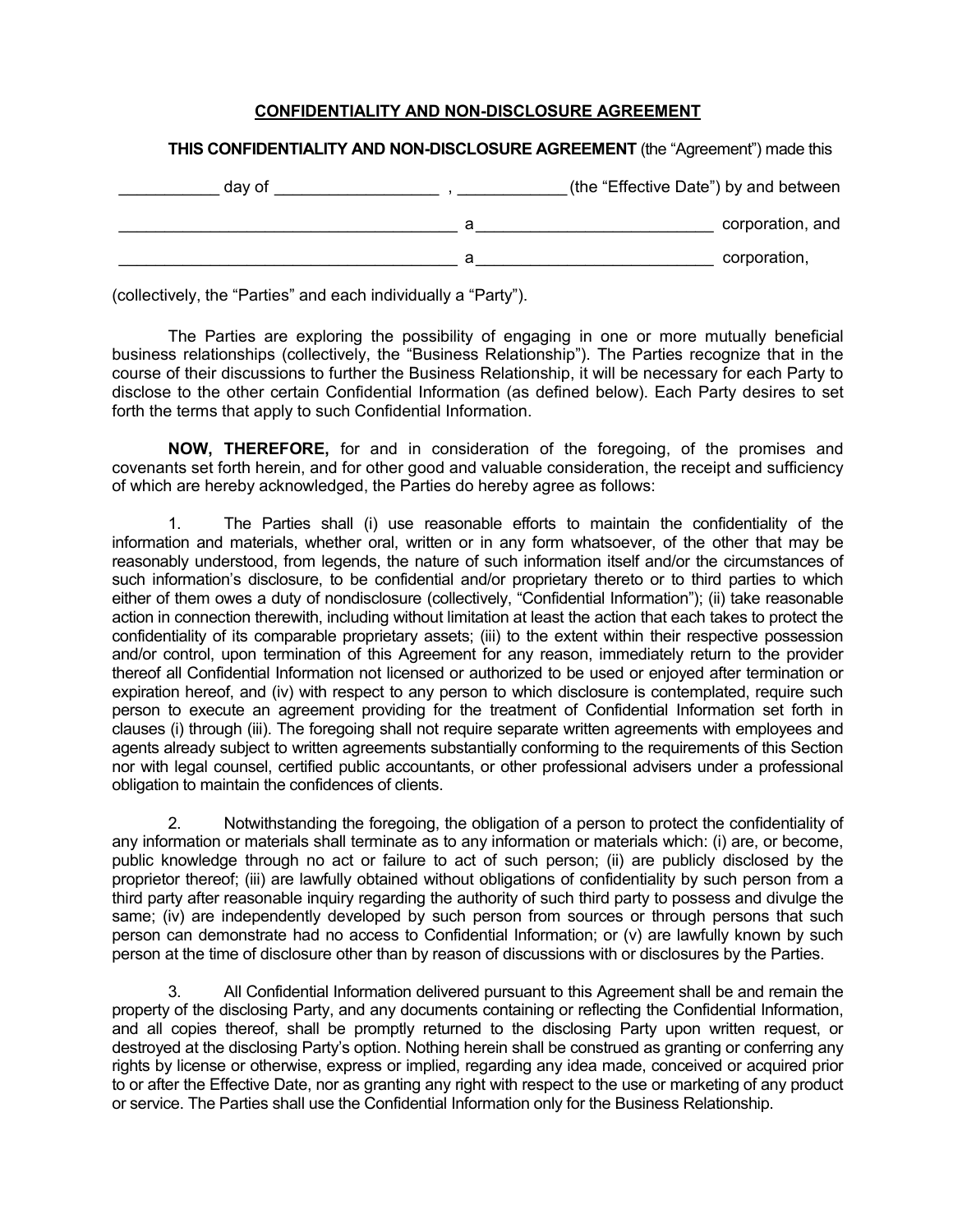## **CONFIDENTIALITY AND NON-DISCLOSURE AGREEMENT**

## **THIS CONFIDENTIALITY AND NON-DISCLOSURE AGREEMENT** (the "Agreement") made this

| day of | (the "Effective Date") by and between |                  |
|--------|---------------------------------------|------------------|
|        | а                                     | corporation, and |
|        | a                                     | corporation,     |

(collectively, the "Parties" and each individually a "Party").

The Parties are exploring the possibility of engaging in one or more mutually beneficial business relationships (collectively, the "Business Relationship"). The Parties recognize that in the course of their discussions to further the Business Relationship, it will be necessary for each Party to disclose to the other certain Confidential Information (as defined below). Each Party desires to set forth the terms that apply to such Confidential Information.

**NOW, THEREFORE,** for and in consideration of the foregoing, of the promises and covenants set forth herein, and for other good and valuable consideration, the receipt and sufficiency of which are hereby acknowledged, the Parties do hereby agree as follows:

1. The Parties shall (i) use reasonable efforts to maintain the confidentiality of the information and materials, whether oral, written or in any form whatsoever, of the other that may be reasonably understood, from legends, the nature of such information itself and/or the circumstances of such information's disclosure, to be confidential and/or proprietary thereto or to third parties to which either of them owes a duty of nondisclosure (collectively, "Confidential Information"); (ii) take reasonable action in connection therewith, including without limitation at least the action that each takes to protect the confidentiality of its comparable proprietary assets; (iii) to the extent within their respective possession and/or control, upon termination of this Agreement for any reason, immediately return to the provider thereof all Confidential Information not licensed or authorized to be used or enjoyed after termination or expiration hereof, and (iv) with respect to any person to which disclosure is contemplated, require such person to execute an agreement providing for the treatment of Confidential Information set forth in clauses (i) through (iii). The foregoing shall not require separate written agreements with employees and agents already subject to written agreements substantially conforming to the requirements of this Section nor with legal counsel, certified public accountants, or other professional advisers under a professional obligation to maintain the confidences of clients.

2. Notwithstanding the foregoing, the obligation of a person to protect the confidentiality of any information or materials shall terminate as to any information or materials which: (i) are, or become, public knowledge through no act or failure to act of such person; (ii) are publicly disclosed by the proprietor thereof; (iii) are lawfully obtained without obligations of confidentiality by such person from a third party after reasonable inquiry regarding the authority of such third party to possess and divulge the same; (iv) are independently developed by such person from sources or through persons that such person can demonstrate had no access to Confidential Information; or (v) are lawfully known by such person at the time of disclosure other than by reason of discussions with or disclosures by the Parties.

3. All Confidential Information delivered pursuant to this Agreement shall be and remain the property of the disclosing Party, and any documents containing or reflecting the Confidential Information, and all copies thereof, shall be promptly returned to the disclosing Party upon written request, or destroyed at the disclosing Party's option. Nothing herein shall be construed as granting or conferring any rights by license or otherwise, express or implied, regarding any idea made, conceived or acquired prior to or after the Effective Date, nor as granting any right with respect to the use or marketing of any product or service. The Parties shall use the Confidential Information only for the Business Relationship.